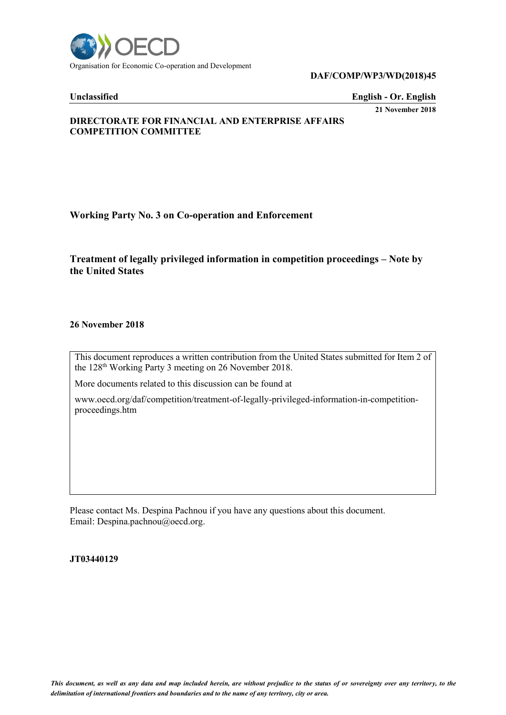

## **DAF/COMP/WP3/WD(2018)45**

**Unclassified English - Or. English 21 November 2018**

# **DIRECTORATE FOR FINANCIAL AND ENTERPRISE AFFAIRS COMPETITION COMMITTEE**

# **Working Party No. 3 on Co-operation and Enforcement**

# **Treatment of legally privileged information in competition proceedings – Note by the United States**

## **26 November 2018**

This document reproduces a written contribution from the United States submitted for Item 2 of the 128<sup>th</sup> Working Party 3 meeting on 26 November 2018.

More documents related to this discussion can be found at

www.oecd.org/daf/competition/treatment-of-legally-privileged-information-in-competitionproceedings.htm

Please contact Ms. Despina Pachnou if you have any questions about this document. Email: Despina.pachnou@oecd.org.

## **JT03440129**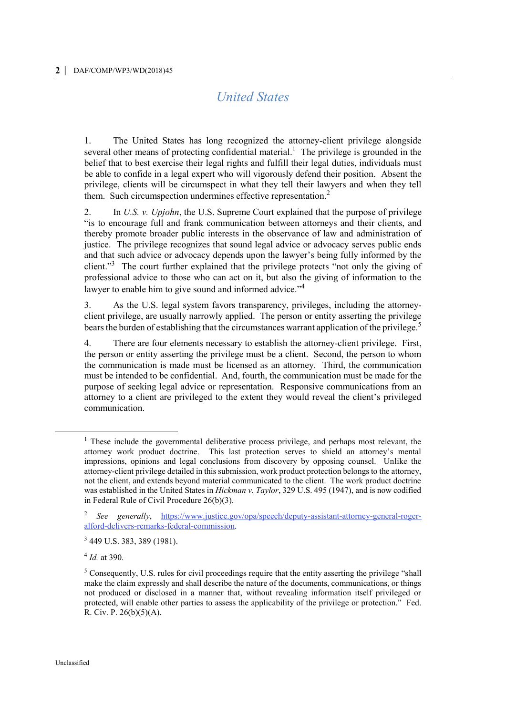# *United States*

1. The United States has long recognized the attorney-client privilege alongside several other means of protecting confidential material.<sup>1</sup> The privilege is grounded in the belief that to best exercise their legal rights and fulfill their legal duties, individuals must be able to confide in a legal expert who will vigorously defend their position. Absent the privilege, clients will be circumspect in what they tell their lawyers and when they tell them. Such circumspection undermines effective representation.<sup>2</sup>

2. In *U.S. v. Upjohn*, the U.S. Supreme Court explained that the purpose of privilege "is to encourage full and frank communication between attorneys and their clients, and thereby promote broader public interests in the observance of law and administration of justice. The privilege recognizes that sound legal advice or advocacy serves public ends and that such advice or advocacy depends upon the lawyer's being fully informed by the client."<sup>3</sup> The court further explained that the privilege protects "not only the giving of professional advice to those who can act on it, but also the giving of information to the lawyer to enable him to give sound and informed advice."<sup>4</sup>

3. As the U.S. legal system favors transparency, privileges, including the attorneyclient privilege, are usually narrowly applied. The person or entity asserting the privilege bears the burden of establishing that the circumstances warrant application of the privilege.<sup>5</sup>

4. There are four elements necessary to establish the attorney-client privilege. First, the person or entity asserting the privilege must be a client. Second, the person to whom the communication is made must be licensed as an attorney. Third, the communication must be intended to be confidential. And, fourth, the communication must be made for the purpose of seeking legal advice or representation. Responsive communications from an attorney to a client are privileged to the extent they would reveal the client's privileged communication.

 $\overline{a}$ 

<sup>&</sup>lt;sup>1</sup> These include the governmental deliberative process privilege, and perhaps most relevant, the attorney work product doctrine. This last protection serves to shield an attorney's mental impressions, opinions and legal conclusions from discovery by opposing counsel. Unlike the attorney-client privilege detailed in this submission, work product protection belongs to the attorney, not the client, and extends beyond material communicated to the client. The work product doctrine was established in the United States in *Hickman v. Taylor*, 329 U.S. 495 (1947), and is now codified in Federal Rule of Civil Procedure 26(b)(3).

<sup>2</sup> *See generally*, [https://www.justice.gov/opa/speech/deputy-assistant-attorney-general-roger](https://www.justice.gov/opa/speech/deputy-assistant-attorney-general-roger-alford-delivers-remarks-federal-commission)[alford-delivers-remarks-federal-commission.](https://www.justice.gov/opa/speech/deputy-assistant-attorney-general-roger-alford-delivers-remarks-federal-commission)

<sup>3</sup> 449 U.S. 383, 389 (1981).

<sup>4</sup> *Id.* at 390.

 $<sup>5</sup>$  Consequently, U.S. rules for civil proceedings require that the entity asserting the privilege "shall"</sup> make the claim expressly and shall describe the nature of the documents, communications, or things not produced or disclosed in a manner that, without revealing information itself privileged or protected, will enable other parties to assess the applicability of the privilege or protection." Fed. R. Civ. P. 26(b)(5)(A).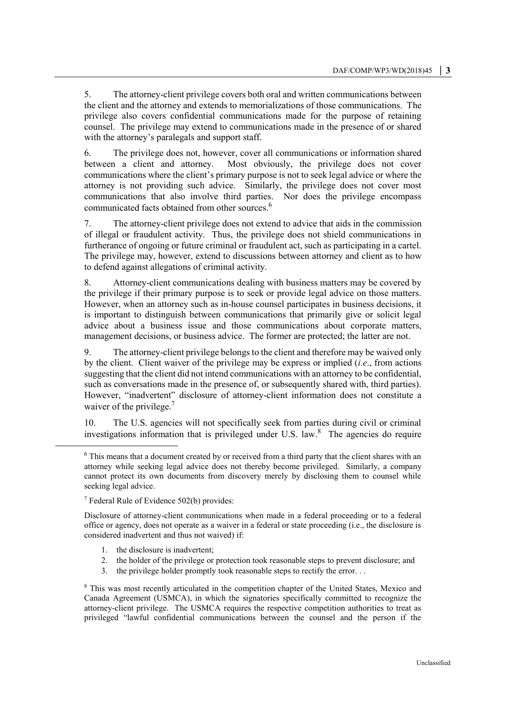5. The attorney-client privilege covers both oral and written communications between the client and the attorney and extends to memorializations of those communications. The privilege also covers confidential communications made for the purpose of retaining counsel. The privilege may extend to communications made in the presence of or shared with the attorney's paralegals and support staff.

6. The privilege does not, however, cover all communications or information shared between a client and attorney. Most obviously, the privilege does not cover communications where the client's primary purpose is not to seek legal advice or where the attorney is not providing such advice. Similarly, the privilege does not cover most communications that also involve third parties. Nor does the privilege encompass communicated facts obtained from other sources.<sup>6</sup>

7. The attorney-client privilege does not extend to advice that aids in the commission of illegal or fraudulent activity. Thus, the privilege does not shield communications in furtherance of ongoing or future criminal or fraudulent act, such as participating in a cartel. The privilege may, however, extend to discussions between attorney and client as to how to defend against allegations of criminal activity.

8. Attorney-client communications dealing with business matters may be covered by the privilege if their primary purpose is to seek or provide legal advice on those matters. However, when an attorney such as in-house counsel participates in business decisions, it is important to distinguish between communications that primarily give or solicit legal advice about a business issue and those communications about corporate matters, management decisions, or business advice. The former are protected; the latter are not.

9. The attorney-client privilege belongs to the client and therefore may be waived only by the client. Client waiver of the privilege may be express or implied (*i.e*., from actions suggesting that the client did not intend communications with an attorney to be confidential, such as conversations made in the presence of, or subsequently shared with, third parties). However, "inadvertent" disclosure of attorney-client information does not constitute a waiver of the privilege.<sup>7</sup>

10. The U.S. agencies will not specifically seek from parties during civil or criminal investigations information that is privileged under U.S. law. $8$  The agencies do require

<sup>7</sup> Federal Rule of Evidence 502(b) provides:

 $\overline{a}$ 

Disclosure of attorney-client communications when made in a federal proceeding or to a federal office or agency, does not operate as a waiver in a federal or state proceeding (i.e., the disclosure is considered inadvertent and thus not waived) if:

- 1. the disclosure is inadvertent;
- 2. the holder of the privilege or protection took reasonable steps to prevent disclosure; and
- 3. the privilege holder promptly took reasonable steps to rectify the error. . .

<sup>8</sup> This was most recently articulated in the competition chapter of the United States, Mexico and Canada Agreement (USMCA), in which the signatories specifically committed to recognize the attorney-client privilege. The USMCA requires the respective competition authorities to treat as privileged "lawful confidential communications between the counsel and the person if the

<sup>&</sup>lt;sup>6</sup> This means that a document created by or received from a third party that the client shares with an attorney while seeking legal advice does not thereby become privileged. Similarly, a company cannot protect its own documents from discovery merely by disclosing them to counsel while seeking legal advice.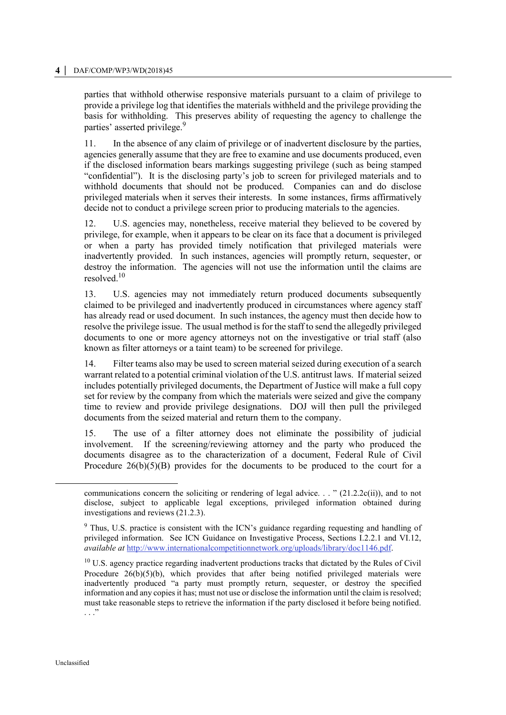#### **4 │** DAF/COMP/WP3/WD(2018)45

parties that withhold otherwise responsive materials pursuant to a claim of privilege to provide a privilege log that identifies the materials withheld and the privilege providing the basis for withholding. This preserves ability of requesting the agency to challenge the parties' asserted privilege.<sup>9</sup>

11. In the absence of any claim of privilege or of inadvertent disclosure by the parties, agencies generally assume that they are free to examine and use documents produced, even if the disclosed information bears markings suggesting privilege (such as being stamped "confidential"). It is the disclosing party's job to screen for privileged materials and to withhold documents that should not be produced. Companies can and do disclose privileged materials when it serves their interests. In some instances, firms affirmatively decide not to conduct a privilege screen prior to producing materials to the agencies.

12. U.S. agencies may, nonetheless, receive material they believed to be covered by privilege, for example, when it appears to be clear on its face that a document is privileged or when a party has provided timely notification that privileged materials were inadvertently provided. In such instances, agencies will promptly return, sequester, or destroy the information. The agencies will not use the information until the claims are resolved. $10$ 

13. U.S. agencies may not immediately return produced documents subsequently claimed to be privileged and inadvertently produced in circumstances where agency staff has already read or used document. In such instances, the agency must then decide how to resolve the privilege issue. The usual method is for the staff to send the allegedly privileged documents to one or more agency attorneys not on the investigative or trial staff (also known as filter attorneys or a taint team) to be screened for privilege.

14. Filter teams also may be used to screen material seized during execution of a search warrant related to a potential criminal violation of the U.S. antitrust laws. If material seized includes potentially privileged documents, the Department of Justice will make a full copy set for review by the company from which the materials were seized and give the company time to review and provide privilege designations. DOJ will then pull the privileged documents from the seized material and return them to the company.

15. The use of a filter attorney does not eliminate the possibility of judicial involvement. If the screening/reviewing attorney and the party who produced the documents disagree as to the characterization of a document, Federal Rule of Civil Procedure  $26(b)(5)(B)$  provides for the documents to be produced to the court for a

 $\overline{a}$ 

communications concern the soliciting or rendering of legal advice. . . "  $(21.2.2c(ii))$ , and to not disclose, subject to applicable legal exceptions, privileged information obtained during investigations and reviews (21.2.3).

<sup>&</sup>lt;sup>9</sup> Thus, U.S. practice is consistent with the ICN's guidance regarding requesting and handling of privileged information. See ICN Guidance on Investigative Process, Sections I.2.2.1 and VI.12, *available at* [http://www.internationalcompetitionnetwork.org/uploads/library/doc1146.pdf.](http://www.internationalcompetitionnetwork.org/uploads/library/doc1146.pdf)

 $10$  U.S. agency practice regarding inadvertent productions tracks that dictated by the Rules of Civil Procedure  $26(b)(5)(b)$ , which provides that after being notified privileged materials were inadvertently produced "a party must promptly return, sequester, or destroy the specified information and any copies it has; must not use or disclose the information until the claim is resolved; must take reasonable steps to retrieve the information if the party disclosed it before being notified. . . ."